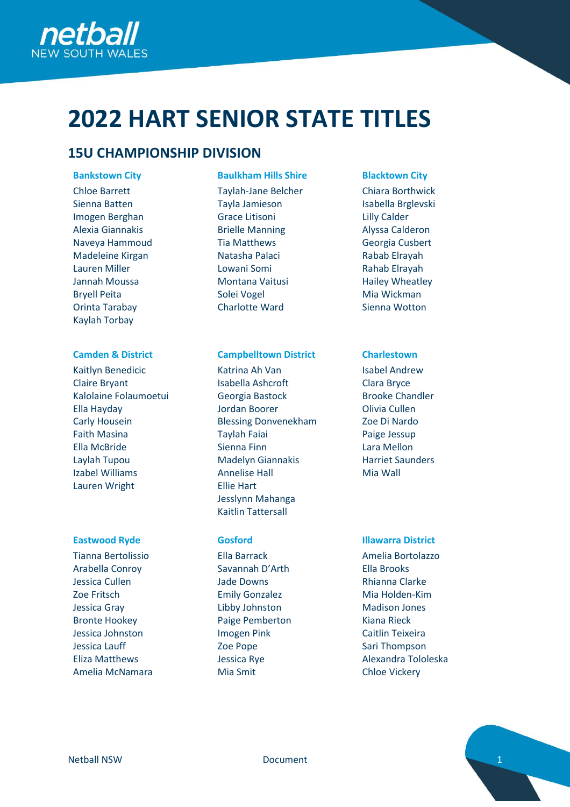

# **2022 HART SENIOR STATE TITLES**

# **15U CHAMPIONSHIP DIVISION**

Chloe Barrett Sienna Batten Imogen Berghan Alexia Giannakis Naveya Hammoud Madeleine Kirgan Lauren Miller Jannah Moussa Bryell Peita Orinta Tarabay Kaylah Torbay

Kaitlyn Benedicic Claire Bryant Kalolaine Folaumoetui Ella Hayday Carly Housein Faith Masina Ella McBride Laylah Tupou Izabel Williams Lauren Wright

Tianna Bertolissio Arabella Conroy Jessica Cullen Zoe Fritsch Jessica Gray Bronte Hookey Jessica Johnston Jessica Lauff Eliza Matthews Amelia McNamara

# **Bankstown City Baulkham Hills Shire Blacktown City**

Taylah-Jane Belcher Tayla Jamieson Grace Litisoni Brielle Manning Tia Matthews Natasha Palaci Lowani Somi Montana Vaitusi Solei Vogel Charlotte Ward

# **Camden & District Campbelltown District Charlestown**

Katrina Ah Van Isabella Ashcroft Georgia Bastock Jordan Boorer Blessing Donvenekham Taylah Faiai Sienna Finn Madelyn Giannakis Annelise Hall Ellie Hart Jesslynn Mahanga Kaitlin Tattersall

Ella Barrack Savannah D'Arth Jade Downs Emily Gonzalez Libby Johnston Paige Pemberton Imogen Pink Zoe Pope Jessica Rye Mia Smit

Chiara Borthwick Isabella Brglevski Lilly Calder Alyssa Calderon Georgia Cusbert Rabab Elrayah Rahab Elrayah Hailey Wheatley Mia Wickman Sienna Wotton

Isabel Andrew Clara Bryce Brooke Chandler Olivia Cullen Zoe Di Nardo Paige Jessup Lara Mellon Harriet Saunders Mia Wall

# **Eastwood Ryde Gosford Illawarra District**

Amelia Bortolazzo Ella Brooks Rhianna Clarke Mia Holden-Kim Madison Jones Kiana Rieck Caitlin Teixeira Sari Thompson Alexandra Tololeska Chloe Vickery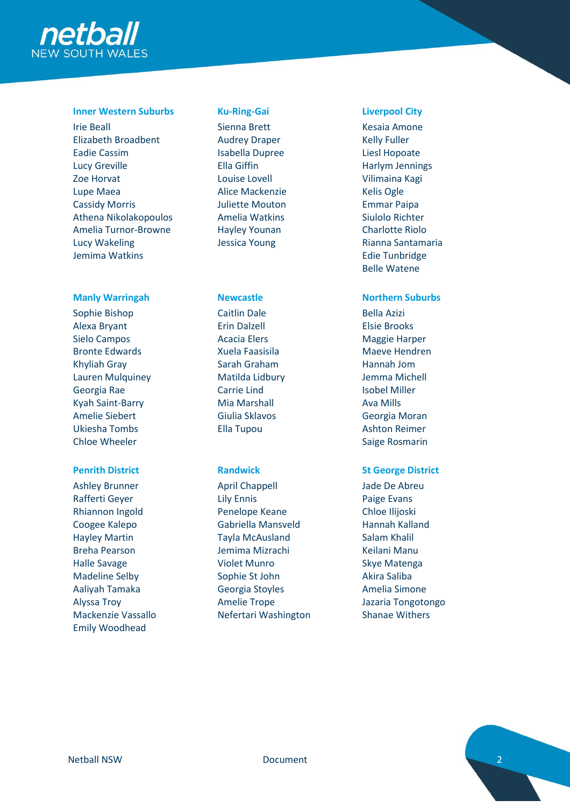

# **Inner Western Suburbs Ku-Ring-Gai Liverpool City**

Irie Beall Elizabeth Broadbent Eadie Cassim Lucy Greville Zoe Horvat Lupe Maea Cassidy Morris Athena Nikolakopoulos Amelia Turnor-Browne Lucy Wakeling Jemima Watkins

# **Manly Warringah Newcastle Northern Suburbs**

Sophie Bishop Alexa Bryant Sielo Campos Bronte Edwards Khyliah Gray Lauren Mulquiney Georgia Rae Kyah Saint-Barry Amelie Siebert Ukiesha Tombs Chloe Wheeler

Ashley Brunner Rafferti Geyer Rhiannon Ingold Coogee Kalepo Hayley Martin Breha Pearson Halle Savage Madeline Selby Aaliyah Tamaka Alyssa Troy Mackenzie Vassallo Emily Woodhead

Sienna Brett Audrey Draper Isabella Dupree Ella Giffin Louise Lovell Alice Mackenzie Juliette Mouton Amelia Watkins Hayley Younan Jessica Young

Caitlin Dale Erin Dalzell Acacia Elers Xuela Faasisila Sarah Graham Matilda Lidbury Carrie Lind Mia Marshall Giulia Sklavos Ella Tupou

April Chappell Lily Ennis Penelope Keane Gabriella Mansveld Tayla McAusland Jemima Mizrachi Violet Munro Sophie St John Georgia Stoyles Amelie Trope Nefertari Washington

Kesaia Amone Kelly Fuller Liesl Hopoate Harlym Jennings Vilimaina Kagi Kelis Ogle Emmar Paipa Siulolo Richter Charlotte Riolo Rianna Santamaria Edie Tunbridge Belle Watene

Bella Azizi Elsie Brooks Maggie Harper Maeve Hendren Hannah Jom Jemma Michell Isobel Miller Ava Mills Georgia Moran Ashton Reimer Saige Rosmarin

# **Penrith District Randwick St George District**

Jade De Abreu Paige Evans Chloe Ilijoski Hannah Kalland Salam Khalil Keilani Manu Skye Matenga Akira Saliba Amelia Simone Jazaria Tongotongo Shanae Withers

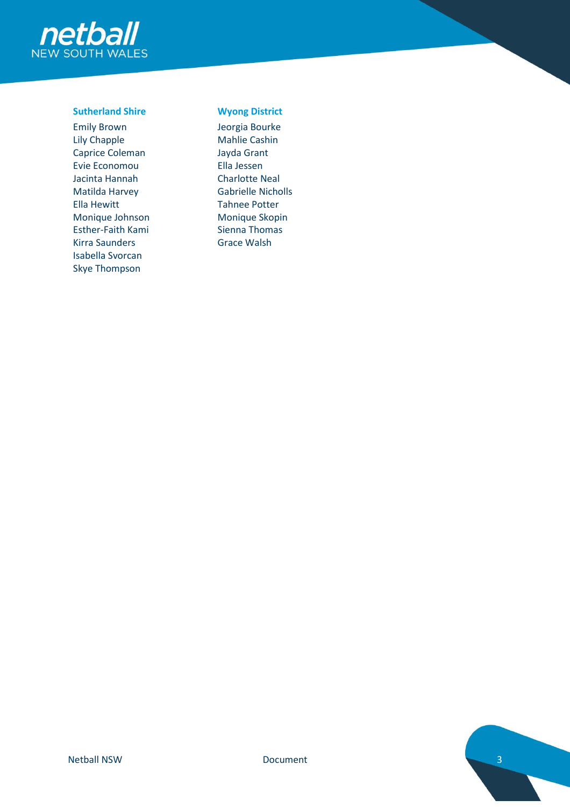

# **Sutherland Shire Wyong District**

Emily Brown Lily Chapple Caprice Coleman Evie Economou Jacinta Hannah Matilda Harvey Ella Hewitt Monique Johnson Esther-Faith Kami Kirra Saunders Isabella Svorcan Skye Thompson

Jeorgia Bourke Mahlie Cashin Jayda Grant Ella Jessen Charlotte Neal Gabrielle Nicholls Tahnee Potter Monique Skopin Sienna Thomas Grace Walsh

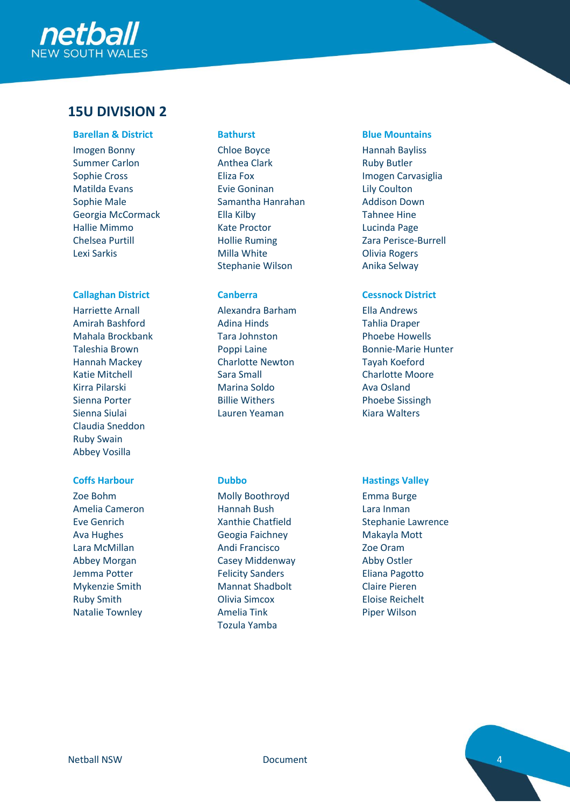

# **15U DIVISION 2**

# **Barellan & District Bathurst Blue Mountains**

Imogen Bonny Summer Carlon Sophie Cross Matilda Evans Sophie Male Georgia McCormack Hallie Mimmo Chelsea Purtill Lexi Sarkis

# **Callaghan District Canberra Cessnock District**

Harriette Arnall Amirah Bashford Mahala Brockbank Taleshia Brown Hannah Mackey Katie Mitchell Kirra Pilarski Sienna Porter Sienna Siulai Claudia Sneddon Ruby Swain Abbey Vosilla

Zoe Bohm Amelia Cameron Eve Genrich Ava Hughes Lara McMillan Abbey Morgan Jemma Potter Mykenzie Smith Ruby Smith Natalie Townley

Chloe Boyce Anthea Clark Eliza Fox Evie Goninan Samantha Hanrahan Ella Kilby Kate Proctor Hollie Ruming Milla White Stephanie Wilson

Alexandra Barham Adina Hinds Tara Johnston Poppi Laine Charlotte Newton Sara Small Marina Soldo Billie Withers Lauren Yeaman

Molly Boothroyd Hannah Bush Xanthie Chatfield Geogia Faichney Andi Francisco Casey Middenway Felicity Sanders Mannat Shadbolt Olivia Simcox Amelia Tink Tozula Yamba

Hannah Bayliss Ruby Butler Imogen Carvasiglia Lily Coulton Addison Down Tahnee Hine Lucinda Page Zara Perisce-Burrell Olivia Rogers Anika Selway

Ella Andrews Tahlia Draper Phoebe Howells Bonnie-Marie Hunter Tayah Koeford Charlotte Moore Ava Osland Phoebe Sissingh Kiara Walters

# **Coffs Harbour Dubbo Hastings Valley**

Emma Burge Lara Inman Stephanie Lawrence Makayla Mott Zoe Oram Abby Ostler Eliana Pagotto Claire Pieren Eloise Reichelt Piper Wilson

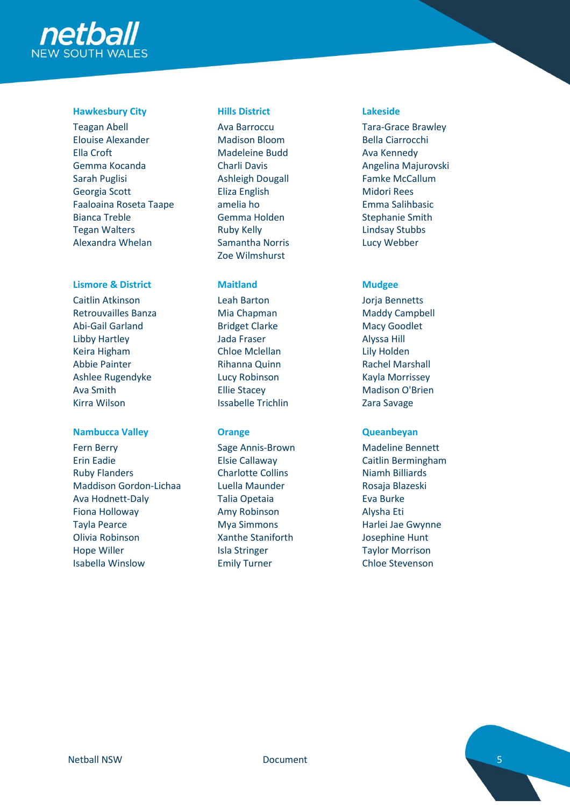

# **Hawkesbury City Hills District Lakeside**

Teagan Abell Elouise Alexander Ella Croft Gemma Kocanda Sarah Puglisi Georgia Scott Faaloaina Roseta Taape Bianca Treble Tegan Walters Alexandra Whelan

# **Lismore & District Maitland Mudgee**

Caitlin Atkinson Retrouvailles Banza Abi-Gail Garland Libby Hartley Keira Higham Abbie Painter Ashlee Rugendyke Ava Smith Kirra Wilson

# **Nambucca Valley <b>Constanting Constanting Constanting Constanting Constanting Constanting Constanting Constanting Constanting Constanting Constanting Constanting Constanting Constanting Constanting Constanting Constanting**

Fern Berry Erin Eadie Ruby Flanders Maddison Gordon-Lichaa Ava Hodnett-Daly Fiona Holloway Tayla Pearce Olivia Robinson Hope Willer Isabella Winslow

Ava Barroccu Madison Bloom Madeleine Budd Charli Davis Ashleigh Dougall Eliza English amelia ho Gemma Holden Ruby Kelly Samantha Norris Zoe Wilmshurst

Leah Barton Mia Chapman Bridget Clarke Jada Fraser Chloe Mclellan Rihanna Quinn Lucy Robinson Ellie Stacey Issabelle Trichlin

Sage Annis-Brown Elsie Callaway Charlotte Collins Luella Maunder Talia Opetaia Amy Robinson Mya Simmons Xanthe Staniforth Isla Stringer Emily Turner

Tara-Grace Brawley Bella Ciarrocchi Ava Kennedy Angelina Majurovski Famke McCallum Midori Rees Emma Salihbasic Stephanie Smith Lindsay Stubbs Lucy Webber

Jorja Bennetts Maddy Campbell Macy Goodlet Alyssa Hill Lily Holden Rachel Marshall Kayla Morrissey Madison O'Brien Zara Savage

Madeline Bennett Caitlin Bermingham Niamh Billiards Rosaja Blazeski Eva Burke Alysha Eti Harlei Jae Gwynne Josephine Hunt Taylor Morrison Chloe Stevenson

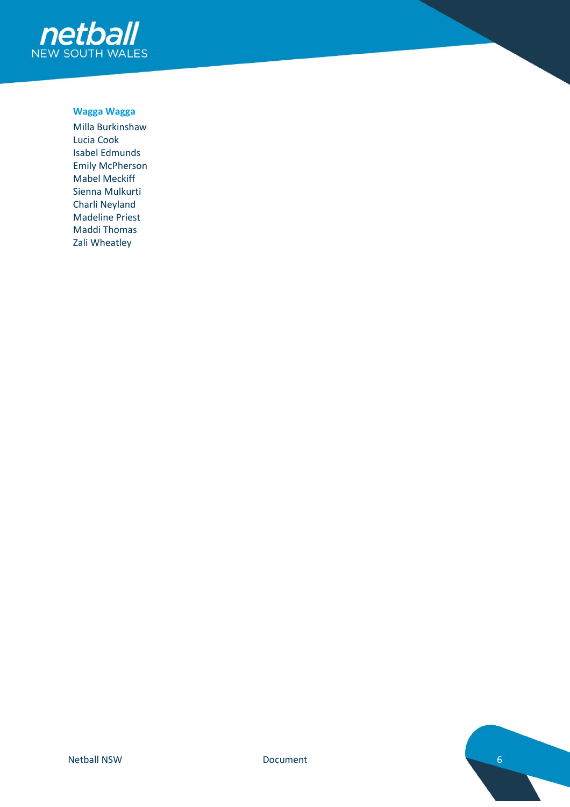

# **Wagga Wagga**

Milla Burkinshaw Lucia Cook Isabel Edmunds Emily McPherson Mabel Meckiff Sienna Mulkurti Charli Neyland Madeline Priest Maddi Thomas Zali Wheatley

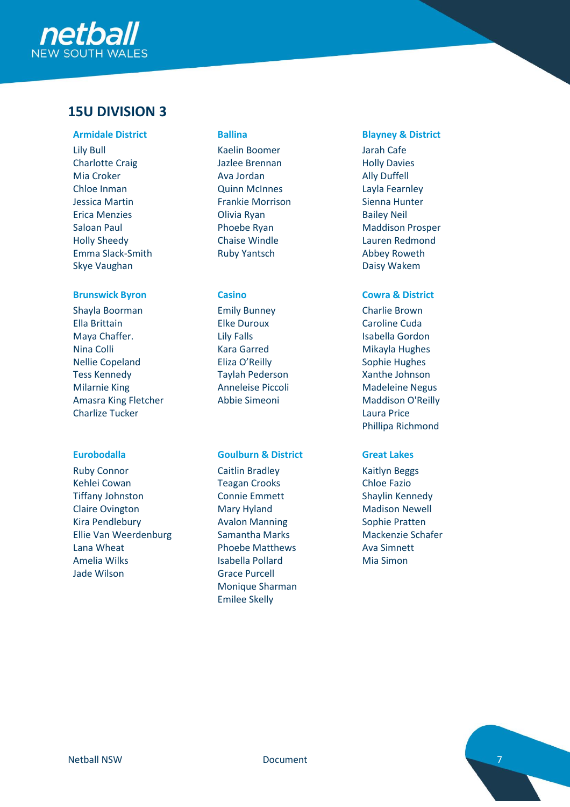

# **15U DIVISION 3**

Lily Bull Charlotte Craig Mia Croker Chloe Inman Jessica Martin Erica Menzies Saloan Paul Holly Sheedy Emma Slack-Smith Skye Vaughan

# **Brunswick Byron Casino Cowra & District**

Shayla Boorman Ella Brittain Maya Chaffer. Nina Colli Nellie Copeland Tess Kennedy Milarnie King Amasra King Fletcher Charlize Tucker

Ruby Connor Kehlei Cowan Tiffany Johnston Claire Ovington Kira Pendlebury Ellie Van Weerdenburg Lana Wheat Amelia Wilks Jade Wilson

Kaelin Boomer Jazlee Brennan Ava Jordan Quinn McInnes Frankie Morrison Olivia Ryan Phoebe Ryan Chaise Windle Ruby Yantsch

Emily Bunney Elke Duroux Lily Falls Kara Garred Eliza O'Reilly Taylah Pederson Anneleise Piccoli Abbie Simeoni

### **Eurobodalla Goulburn & District Great Lakes**

Caitlin Bradley Teagan Crooks Connie Emmett Mary Hyland Avalon Manning Samantha Marks Phoebe Matthews Isabella Pollard Grace Purcell Monique Sharman Emilee Skelly

# **Armidale District Ballina Blayney & District**

Jarah Cafe Holly Davies Ally Duffell Layla Fearnley Sienna Hunter Bailey Neil Maddison Prosper Lauren Redmond Abbey Roweth Daisy Wakem

Charlie Brown Caroline Cuda Isabella Gordon Mikayla Hughes Sophie Hughes Xanthe Johnson Madeleine Negus Maddison O'Reilly Laura Price Phillipa Richmond

Kaitlyn Beggs Chloe Fazio Shaylin Kennedy Madison Newell Sophie Pratten Mackenzie Schafer Ava Simnett Mia Simon

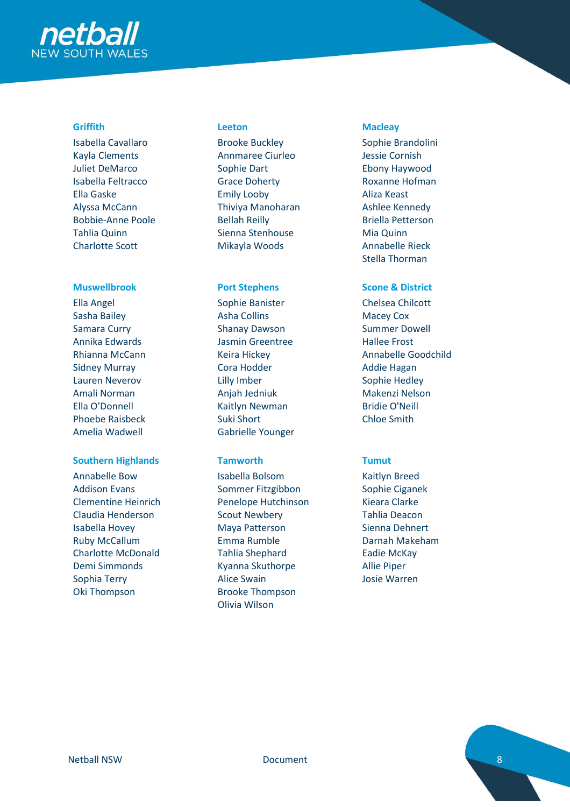

Isabella Cavallaro Kayla Clements Juliet DeMarco Isabella Feltracco Ella Gaske Alyssa McCann Bobbie-Anne Poole Tahlia Quinn Charlotte Scott

Ella Angel Sasha Bailey Samara Curry Annika Edwards Rhianna McCann Sidney Murray Lauren Neverov Amali Norman Ella O'Donnell Phoebe Raisbeck Amelia Wadwell

### **Southern Highlands Tamworth Tumut**

Annabelle Bow Addison Evans Clementine Heinrich Claudia Henderson Isabella Hovey Ruby McCallum Charlotte McDonald Demi Simmonds Sophia Terry Oki Thompson

Brooke Buckley Annmaree Ciurleo Sophie Dart Grace Doherty Emily Looby Thiviya Manoharan Bellah Reilly Sienna Stenhouse Mikayla Woods

Sophie Banister Asha Collins Shanay Dawson Jasmin Greentree Keira Hickey Cora Hodder Lilly Imber Anjah Jedniuk Kaitlyn Newman Suki Short Gabrielle Younger

Isabella Bolsom Sommer Fitzgibbon Penelope Hutchinson Scout Newbery Maya Patterson Emma Rumble Tahlia Shephard Kyanna Skuthorpe Alice Swain Brooke Thompson Olivia Wilson

# **Griffith Leeton Macleay**

Sophie Brandolini Jessie Cornish Ebony Haywood Roxanne Hofman Aliza Keast Ashlee Kennedy Briella Petterson Mia Quinn Annabelle Rieck Stella Thorman

# **Muswellbrook Port Stephens Scone & District**

Chelsea Chilcott Macey Cox Summer Dowell Hallee Frost Annabelle Goodchild Addie Hagan Sophie Hedley Makenzi Nelson Bridie O'Neill Chloe Smith

Kaitlyn Breed Sophie Ciganek Kieara Clarke Tahlia Deacon Sienna Dehnert Darnah Makeham Eadie McKay Allie Piper Josie Warren

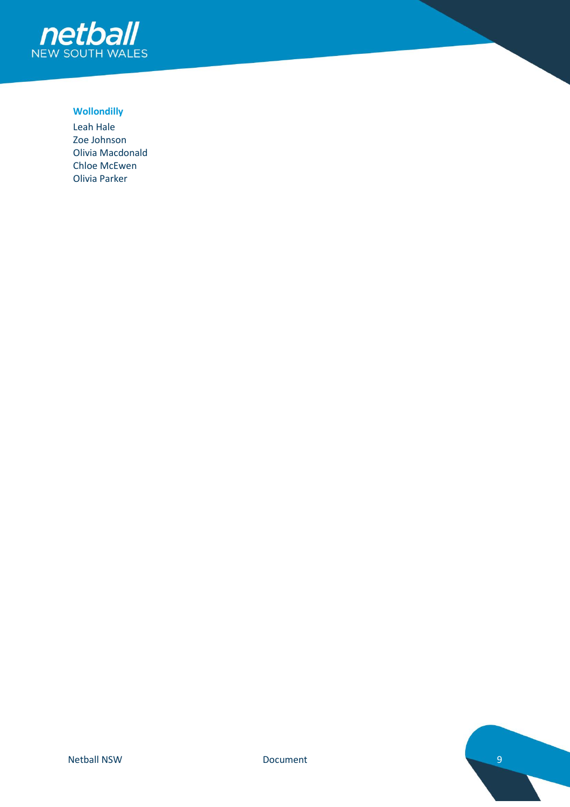

# **Wollondilly**

Leah Hale Zoe Johnson Olivia Macdonald Chloe McEwen Olivia Parker

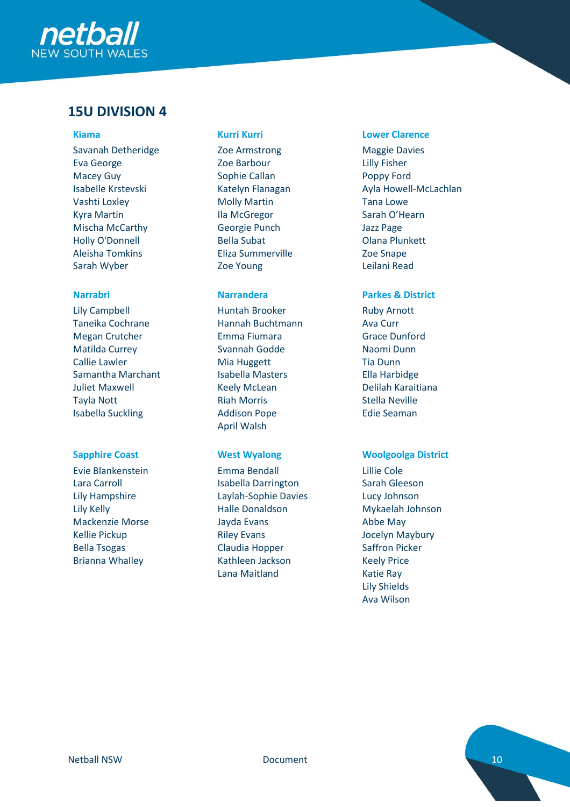

# **15U DIVISION 4**

Savanah Detheridge Eva George Macey Guy Isabelle Krstevski Vashti Loxley Kyra Martin Mischa McCarthy Holly O'Donnell Aleisha Tomkins Sarah Wyber

Lily Campbell Taneika Cochrane Megan Crutcher Matilda Currey Callie Lawler Samantha Marchant Juliet Maxwell Tayla Nott Isabella Suckling

Evie Blankenstein Lara Carroll Lily Hampshire Lily Kelly Mackenzie Morse Kellie Pickup Bella Tsogas Brianna Whalley

Zoe Armstrong Zoe Barbour Sophie Callan Katelyn Flanagan Molly Martin Ila McGregor Georgie Punch Bella Subat Eliza Summerville Zoe Young

Huntah Brooker Hannah Buchtmann Emma Fiumara Svannah Godde Mia Huggett Isabella Masters Keely McLean Riah Morris Addison Pope April Walsh

Emma Bendall Isabella Darrington Laylah-Sophie Davies Halle Donaldson Jayda Evans Riley Evans Claudia Hopper Kathleen Jackson Lana Maitland

### **Kiama Kurri Kurri Lower Clarence**

Maggie Davies Lilly Fisher Poppy Ford Ayla Howell-McLachlan Tana Lowe Sarah O'Hearn Jazz Page Olana Plunkett Zoe Snape Leilani Read

# **Narrabri Narrandera Parkes & District**

Ruby Arnott Ava Curr Grace Dunford Naomi Dunn Tia Dunn Ella Harbidge Delilah Karaitiana Stella Neville Edie Seaman

### **Sapphire Coast West Wyalong Woolgoolga District**

Lillie Cole Sarah Gleeson Lucy Johnson Mykaelah Johnson Abbe May Jocelyn Maybury Saffron Picker Keely Price Katie Ray Lily Shields Ava Wilson